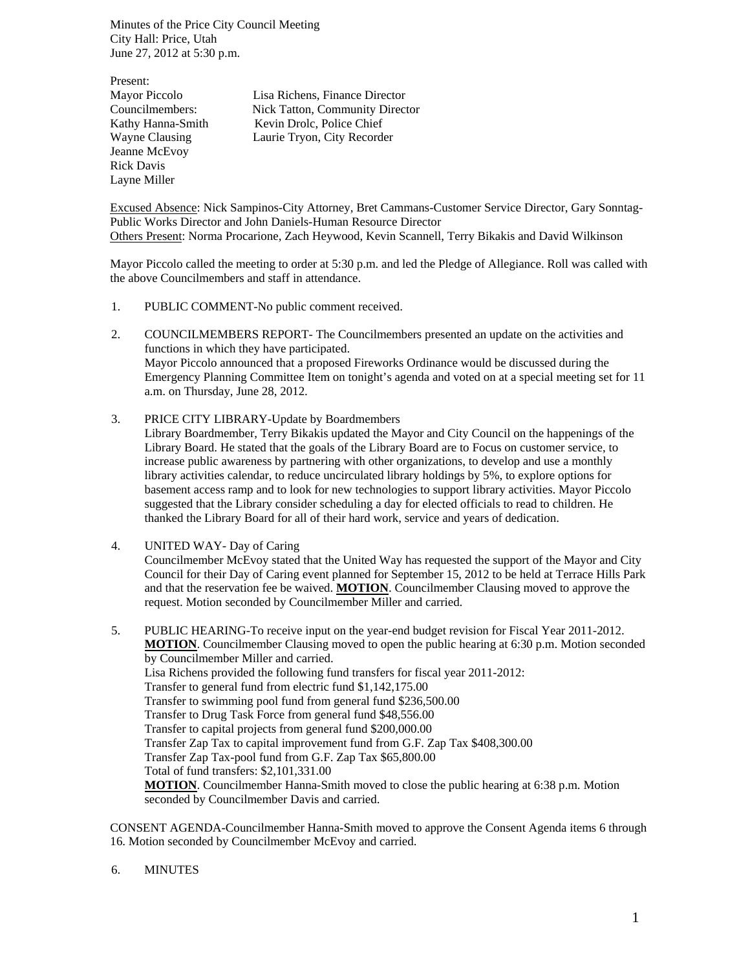Minutes of the Price City Council Meeting City Hall: Price, Utah June 27, 2012 at 5:30 p.m.

Present: Mayor Piccolo Lisa Richens, Finance Director Councilmembers: Nick Tatton, Community Director Kathy Hanna-Smith Kevin Drolc, Police Chief Wayne Clausing Laurie Tryon, City Recorder Jeanne McEvoy Rick Davis Layne Miller

Excused Absence: Nick Sampinos-City Attorney, Bret Cammans-Customer Service Director, Gary Sonntag-Public Works Director and John Daniels-Human Resource Director Others Present: Norma Procarione, Zach Heywood, Kevin Scannell, Terry Bikakis and David Wilkinson

Mayor Piccolo called the meeting to order at 5:30 p.m. and led the Pledge of Allegiance. Roll was called with the above Councilmembers and staff in attendance.

- 1. PUBLIC COMMENT-No public comment received.
- 2. COUNCILMEMBERS REPORT- The Councilmembers presented an update on the activities and functions in which they have participated. Mayor Piccolo announced that a proposed Fireworks Ordinance would be discussed during the Emergency Planning Committee Item on tonight's agenda and voted on at a special meeting set for 11 a.m. on Thursday, June 28, 2012.
- 3. PRICE CITY LIBRARY-Update by Boardmembers

Library Boardmember, Terry Bikakis updated the Mayor and City Council on the happenings of the Library Board. He stated that the goals of the Library Board are to Focus on customer service, to increase public awareness by partnering with other organizations, to develop and use a monthly library activities calendar, to reduce uncirculated library holdings by 5%, to explore options for basement access ramp and to look for new technologies to support library activities. Mayor Piccolo suggested that the Library consider scheduling a day for elected officials to read to children. He thanked the Library Board for all of their hard work, service and years of dedication.

4. UNITED WAY- Day of Caring

Councilmember McEvoy stated that the United Way has requested the support of the Mayor and City Council for their Day of Caring event planned for September 15, 2012 to be held at Terrace Hills Park and that the reservation fee be waived. **MOTION**. Councilmember Clausing moved to approve the request. Motion seconded by Councilmember Miller and carried.

5. PUBLIC HEARING-To receive input on the year-end budget revision for Fiscal Year 2011-2012. **MOTION**. Councilmember Clausing moved to open the public hearing at 6:30 p.m. Motion seconded by Councilmember Miller and carried. Lisa Richens provided the following fund transfers for fiscal year 2011-2012: Transfer to general fund from electric fund \$1,142,175.00 Transfer to swimming pool fund from general fund \$236,500.00 Transfer to Drug Task Force from general fund \$48,556.00 Transfer to capital projects from general fund \$200,000.00 Transfer Zap Tax to capital improvement fund from G.F. Zap Tax \$408,300.00 Transfer Zap Tax-pool fund from G.F. Zap Tax \$65,800.00 Total of fund transfers: \$2,101,331.00 **MOTION**. Councilmember Hanna-Smith moved to close the public hearing at 6:38 p.m. Motion seconded by Councilmember Davis and carried.

CONSENT AGENDA-Councilmember Hanna-Smith moved to approve the Consent Agenda items 6 through 16. Motion seconded by Councilmember McEvoy and carried.

6. MINUTES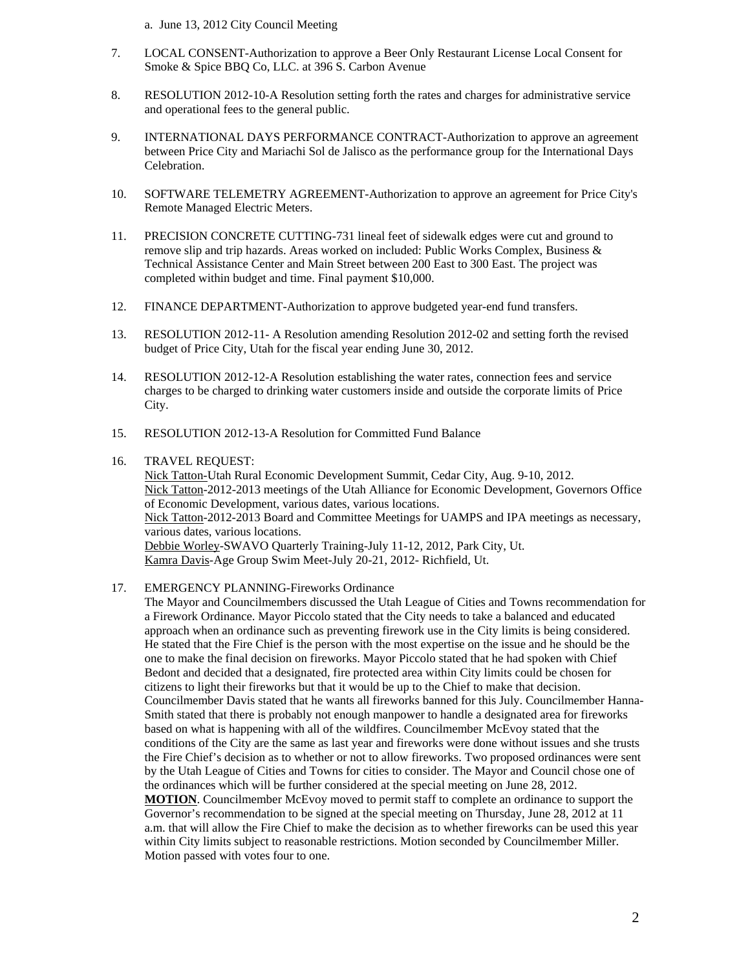a. June 13, 2012 City Council Meeting

- 7. LOCAL CONSENT-Authorization to approve a Beer Only Restaurant License Local Consent for Smoke & Spice BBQ Co, LLC. at 396 S. Carbon Avenue
- 8. RESOLUTION 2012-10-A Resolution setting forth the rates and charges for administrative service and operational fees to the general public.
- 9. INTERNATIONAL DAYS PERFORMANCE CONTRACT-Authorization to approve an agreement between Price City and Mariachi Sol de Jalisco as the performance group for the International Days Celebration.
- 10. SOFTWARE TELEMETRY AGREEMENT-Authorization to approve an agreement for Price City's Remote Managed Electric Meters.
- 11. PRECISION CONCRETE CUTTING-731 lineal feet of sidewalk edges were cut and ground to remove slip and trip hazards. Areas worked on included: Public Works Complex, Business & Technical Assistance Center and Main Street between 200 East to 300 East. The project was completed within budget and time. Final payment \$10,000.
- 12. FINANCE DEPARTMENT-Authorization to approve budgeted year-end fund transfers.
- 13. RESOLUTION 2012-11- A Resolution amending Resolution 2012-02 and setting forth the revised budget of Price City, Utah for the fiscal year ending June 30, 2012.
- 14. RESOLUTION 2012-12-A Resolution establishing the water rates, connection fees and service charges to be charged to drinking water customers inside and outside the corporate limits of Price City.
- 15. RESOLUTION 2012-13-A Resolution for Committed Fund Balance

## 16. TRAVEL REQUEST:

Nick Tatton-Utah Rural Economic Development Summit, Cedar City, Aug. 9-10, 2012. Nick Tatton-2012-2013 meetings of the Utah Alliance for Economic Development, Governors Office of Economic Development, various dates, various locations. Nick Tatton-2012-2013 Board and Committee Meetings for UAMPS and IPA meetings as necessary, various dates, various locations. Debbie Worley-SWAVO Quarterly Training-July 11-12, 2012, Park City, Ut. Kamra Davis-Age Group Swim Meet-July 20-21, 2012- Richfield, Ut.

## 17. EMERGENCY PLANNING-Fireworks Ordinance

The Mayor and Councilmembers discussed the Utah League of Cities and Towns recommendation for a Firework Ordinance. Mayor Piccolo stated that the City needs to take a balanced and educated approach when an ordinance such as preventing firework use in the City limits is being considered. He stated that the Fire Chief is the person with the most expertise on the issue and he should be the one to make the final decision on fireworks. Mayor Piccolo stated that he had spoken with Chief Bedont and decided that a designated, fire protected area within City limits could be chosen for citizens to light their fireworks but that it would be up to the Chief to make that decision. Councilmember Davis stated that he wants all fireworks banned for this July. Councilmember Hanna-Smith stated that there is probably not enough manpower to handle a designated area for fireworks based on what is happening with all of the wildfires. Councilmember McEvoy stated that the conditions of the City are the same as last year and fireworks were done without issues and she trusts the Fire Chief's decision as to whether or not to allow fireworks. Two proposed ordinances were sent by the Utah League of Cities and Towns for cities to consider. The Mayor and Council chose one of the ordinances which will be further considered at the special meeting on June 28, 2012. **MOTION**. Councilmember McEvoy moved to permit staff to complete an ordinance to support the Governor's recommendation to be signed at the special meeting on Thursday, June 28, 2012 at 11 a.m. that will allow the Fire Chief to make the decision as to whether fireworks can be used this year within City limits subject to reasonable restrictions. Motion seconded by Councilmember Miller. Motion passed with votes four to one.